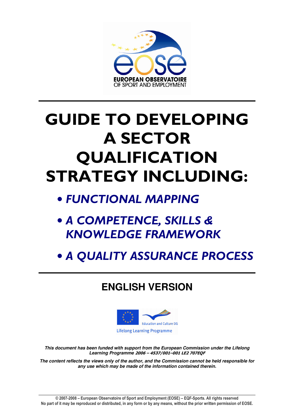

# GUIDE TO DEVELOPING A SECTOR QUALIFICATION STRATEGY INCLUDING:

- FUNCTIONAL MAPPING
- A COMPETENCE, SKILLS & KNOWLEDGE FRAMEWORK
- A QUALITY ASSURANCE PROCESS

## **ENGLISH VERSION**



**This document has been funded with support from the European Commission under the Lifelong Learning Programme** 2006 – 4537/001–001 LE2 707EQF

**The content reflects the views only of the author, and the Commission cannot be held responsible for any use which may be made of the information contained therein.**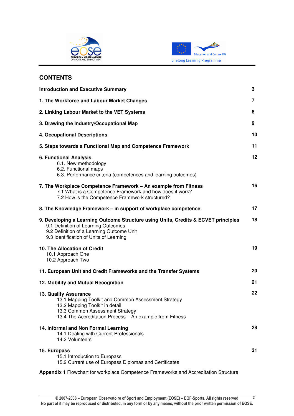



### **CONTENTS**

| <b>Introduction and Executive Summary</b>                                                                                                                                                                            |    |  |  |  |  |
|----------------------------------------------------------------------------------------------------------------------------------------------------------------------------------------------------------------------|----|--|--|--|--|
| 1. The Workforce and Labour Market Changes                                                                                                                                                                           |    |  |  |  |  |
| 2. Linking Labour Market to the VET Systems                                                                                                                                                                          | 8  |  |  |  |  |
| 3. Drawing the Industry/Occupational Map                                                                                                                                                                             | 9  |  |  |  |  |
| <b>4. Occupational Descriptions</b>                                                                                                                                                                                  | 10 |  |  |  |  |
| 5. Steps towards a Functional Map and Competence Framework                                                                                                                                                           | 11 |  |  |  |  |
| <b>6. Functional Analysis</b><br>6.1. New methodology<br>6.2. Functional maps<br>6.3. Performance criteria (competences and learning outcomes)                                                                       | 12 |  |  |  |  |
| 7. The Workplace Competence Framework - An example from Fitness<br>7.1 What is a Competence Framework and how does it work?<br>7.2 How is the Competence Framework structured?                                       | 16 |  |  |  |  |
| 8. The Knowledge Framework – in support of workplace competence                                                                                                                                                      | 17 |  |  |  |  |
| 9. Developing a Learning Outcome Structure using Units, Credits & ECVET principles<br>9.1 Definition of Learning Outcomes<br>9.2 Definition of a Learning Outcome Unit<br>9.3 Identification of Units of Learning    | 18 |  |  |  |  |
| 10. The Allocation of Credit<br>10.1 Approach One<br>10.2 Approach Two                                                                                                                                               | 19 |  |  |  |  |
| 11. European Unit and Credit Frameworks and the Transfer Systems                                                                                                                                                     | 20 |  |  |  |  |
| 12. Mobility and Mutual Recognition                                                                                                                                                                                  | 21 |  |  |  |  |
| <b>13. Quality Assurance</b><br>13.1 Mapping Toolkit and Common Assessment Strategy<br>13.2 Mapping Toolkit in detail<br>13.3 Common Assessment Strategy<br>13.4 The Accreditation Process - An example from Fitness | 22 |  |  |  |  |
| 14. Informal and Non Formal Learning<br>14.1 Dealing with Current Professionals<br>14.2 Volunteers                                                                                                                   | 28 |  |  |  |  |
| 15. Europass<br>15.1 Introduction to Europass<br>15.2 Current use of Europass Diplomas and Certificates                                                                                                              | 31 |  |  |  |  |

**Appendix 1** Flowchart for workplace Competence Frameworks and Accreditation Structure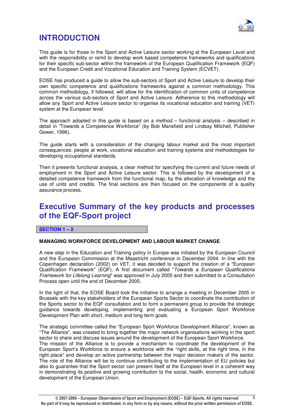

### **INTRODUCTION**

This guide is for those in the Sport and Active Leisure sector working at the European Level and with the responsibility or remit to develop work based competence frameworks and qualifications for their specific sub-sector within the framework of the European Qualification Framework (EQF) and the European Credit and Vocational Education and Training System (ECVET).

EOSE has produced a guide to allow the sub-sectors of Sport and Active Leisure to develop their own specific competence and qualifications frameworks against a common methodology. This common methodology, if followed, will allow for the identification of common units of competence across the various sub-sectors of Sport and Active Leisure. Adherence to this methodology will allow any Sport and Active Leisure sector to organise its vocational education and training (VET) system at the European level.

The approach adopted in this guide is based on a method – functional analysis – described in detail in "Towards a Competence Workforce" (by Bob Mansfield and Lindsay Mitchell, Publisher Gower, 1996).

The guide starts with a consideration of the changing labour market and the most important consequences: people at work, vocational education and training systems and methodologies for developing occupational standards.

Then it presents functional analysis, a clear method for specifying the current and future needs of employment in the Sport and Active Leisure sector. This is followed by the development of a detailed competence framework from the functional map, by the allocation of knowledge and the use of units and credits. The final sections are then focused on the components of a quality assurance process.

### **Executive Summary of the key products and processes of the EQF-Sport project**

**SECTION 1 – 2** 

### **MANAGING WORKFORCE DEVELOPMENT AND LABOUR MARKET CHANGE**

A new step in the Education and Training policy in Europe was initiated by the European Council and the European Commission at the Maastricht conference in December 2004. In line with the Copenhagen declaration (2002) on VET, it was decided to support the creation of a "European Qualification Framework" (EQF). A first document called "Towards a European Qualifications Framework for Lifelong Learning" was approved in July 2005 and then submitted to a Consultation Process open until the end of December 2005.

In the light of that, the EOSE Board took the initiative to arrange a meeting in December 2005 in Brussels with the key stakeholders of the European Sports Sector to coordinate the contribution of the Sports sector to the EQF consultation and to form a permanent group to provide the strategic guidance towards developing, implementing and evaluating a European Sport Workforce Development Plan with short, medium and long term goals.

The strategic committee called the "European Sport Workforce Development Alliance", known as "The Alliance", was created to bring together the major network organisations working in the sport sector to share and discuss issues around the development of the European Sport Workforce. The mission of the Alliance is to provide a mechanism to coordinate the development of the European Sport's Workforce to ensure a workforce with the "right skills, at the right time, in the right place" and develop an active partnership between the major decision makers of the sector. The role of the Alliance will be to continue contributing to the implementation of EU policies but also to guarantee that the Sport sector can present itself at the European level in a coherent way in demonstrating its positive and growing contribution to the social, health, economic and cultural development of the European Union.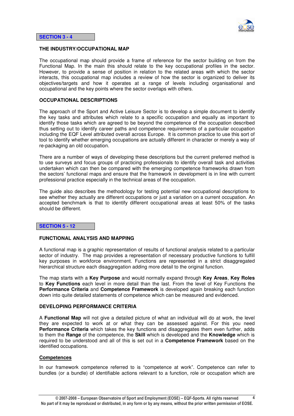

### **THE INDUSTRY/OCCUPATIONAL MAP**

The occupational map should provide a frame of reference for the sector building on from the Functional Map. In the main this should relate to the key occupational profiles in the sector. However, to provide a sense of position in relation to the related areas with which the sector interacts, this occupational map includes a review of how the sector is organized to deliver its objectives/targets and how it operates at a range of levels including organisational and occupational and the key points where the sector overlaps with others.

### **OCCUPATIONAL DESCRIPTIONS**

The approach of the Sport and Active Leisure Sector is to develop a simple document to identify the key tasks and attributes which relate to a specific occupation and equally as important to identify those tasks which are agreed to be beyond the competence of the occupation described thus setting out to identify career paths and competence requirements of a particular occupation including the EQF Level attributed overall across Europe. It is common practice to use this sort of tool to identify whether emerging occupations are actually different in character or merely a way of re-packaging an old occupation.

There are a number of ways of developing these descriptions but the current preferred method is to use surveys and focus groups of practicing professionals to identify overall task and activities undertaken which can then be compared with the emerging competence frameworks drawn from the sectors' functional maps and ensure that the framework in development is in line with current professional practice especially in the technical areas of the occupation.

The guide also describes the methodology for testing potential new occupational descriptions to see whether they actually are different occupations or just a variation on a current occupation. An accepted benchmark is that to identify different occupational areas at least 50% of the tasks should be different.

#### **SECTION 5 - 12**

#### **FUNCTIONAL ANALYSIS AND MAPPING**

A functional map is a graphic representation of results of functional analysis related to a particular sector of industry. The map provides a representation of necessary productive functions to fulfill key purposes in workforce environment. Functions are represented in a strict disaggregated hierarchical structure each disaggregation adding more detail to the original function.

The map starts with a **Key Purpose** and would normally expand through **Key Areas**, **Key Roles** to **Key Functions** each level in more detail than the last. From the level of Key Functions the **Performance Criteria** and **Competence Framework** is developed again breaking each function down into quite detailed statements of competence which can be measured and evidenced.

#### **DEVELOPING PERFORMANCE CRITERIA**

A **Functional Map** will not give a detailed picture of what an individual will do at work, the level they are expected to work at or what they can be assessed against. For this you need **Performance Criteria** which takes the key functions and disaggregates them even further, adds to them the **Range** of the competence, the **Skill** which is developed and the **Knowledge** which is required to be understood and all of this is set out in a **Competence Framework** based on the identified occupations.

#### **Competences**

In our framework competence referred to is "competence at work". Competence can refer to bundles (or a bundle) of identifiable actions relevant to a function, role or occupation which are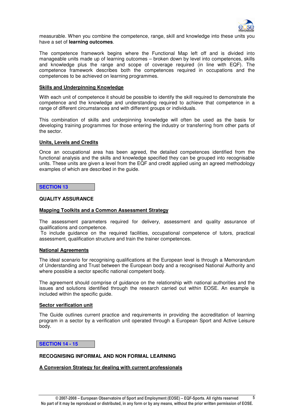

measurable. When you combine the competence, range, skill and knowledge into these units you have a set of **learning outcomes**.

The competence framework begins where the Functional Map left off and is divided into manageable units made up of learning outcomes – broken down by level into competences, skills and knowledge plus the range and scope of coverage required (in line with EQF). The competence framework describes both the competences required in occupations and the competences to be achieved on learning programmes.

### **Skills and Underpinning Knowledge**

With each unit of competence it should be possible to identify the skill required to demonstrate the competence and the knowledge and understanding required to achieve that competence in a range of different circumstances and with different groups or individuals.

This combination of skills and underpinning knowledge will often be used as the basis for developing training programmes for those entering the industry or transferring from other parts of the sector.

### **Units, Levels and Credits**

Once an occupational area has been agreed, the detailed competences identified from the functional analysis and the skills and knowledge specified they can be grouped into recognisable units. These units are given a level from the EQF and credit applied using an agreed methodology examples of which are described in the guide.

#### **SECTION 13**

### **QUALITY ASSURANCE**

### **Mapping Toolkits and a Common Assessment Strategy**

The assessment parameters required for delivery, assessment and quality assurance of qualifications and competence.

 To include guidance on the required facilities, occupational competence of tutors, practical assessment, qualification structure and train the trainer competences.

#### **National Agreements**

The ideal scenario for recognising qualifications at the European level is through a Memorandum of Understanding and Trust between the European body and a recognised National Authority and where possible a sector specific national competent body.

The agreement should comprise of guidance on the relationship with national authorities and the issues and solutions identified through the research carried out within EOSE. An example is included within the specific guide.

### **Sector verification unit**

The Guide outlines current practice and requirements in providing the accreditation of learning program in a sector by a verification unit operated through a European Sport and Active Leisure body.

### **SECTION 14 - 15**

### **RECOGNISING INFORMAL AND NON FORMAL LEARNING**

### **A Conversion Strategy for dealing with current professionals**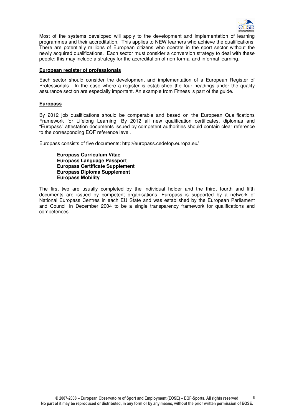

Most of the systems developed will apply to the development and implementation of learning programmes and their accreditation. This applies to NEW learners who achieve the qualifications. There are potentially millions of European citizens who operate in the sport sector without the newly acquired qualifications. Each sector must consider a conversion strategy to deal with these people; this may include a strategy for the accreditation of non-formal and informal learning.

### **European register of professionals**

Each sector should consider the development and implementation of a European Register of Professionals. In the case where a register is established the four headings under the quality assurance section are especially important. An example from Fitness is part of the guide.

### **Europass**

By 2012 job qualifications should be comparable and based on the European Qualifications Framework for Lifelong Learning. By 2012 all new qualification certificates, diplomas and "Europass" attestation documents issued by competent authorities should contain clear reference to the corresponding EQF reference level.

Europass consists of five documents: http://europass.cedefop.europa.eu/

**Europass Curriculum Vitae Europass Language Passport Europass Certificate Supplement Europass Diploma Supplement Europass Mobility** 

The first two are usually completed by the individual holder and the third, fourth and fifth documents are issued by competent organisations. Europass is supported by a network of National Europass Centres in each EU State and was established by the European Parliament and Council in December 2004 to be a single transparency framework for qualifications and competences.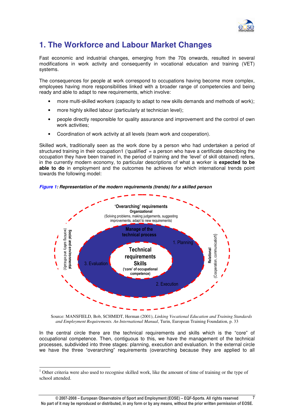

### **1. The Workforce and Labour Market Changes**

Fast economic and industrial changes, emerging from the 70s onwards, resulted in several modifications in work activity and consequently in vocational education and training (VET) systems.

The consequences for people at work correspond to occupations having become more complex, employees having more responsibilities linked with a broader range of competencies and being ready and able to adapt to new requirements, which involve:

- more multi-skilled workers (capacity to adapt to new skills demands and methods of work);
- more highly skilled labour (particularly at technician level);
- people directly responsible for quality assurance and improvement and the control of own work activities;
- Coordination of work activity at all levels (team work and cooperation).

Skilled work, traditionally seen as the work done by a person who had undertaken a period of structured training in their occupation1 ('qualified' = a person who have a certificate describing the occupation they have been trained in, the period of training and the 'level' of skill obtained) refers, in the currently modern economy, to particular descriptions of what a worker is **expected to be able to do** in employment and the outcomes he achieves for which international trends point towards the following model:

**Figure 1: Representation of the modern requirements (trends) for a skilled person** 



Source: MANSFIELD, Bob, SCHMIDT, Herman (2001), *Linking Vocational Education and Training Standards and Employment Requirements. An International Manual*, Turin, European Training Foundation, p. 33

In the central circle there are the technical requirements and skills which is the "core" of occupational competence. Then, contiguous to this, we have the management of the technical processes, subdivided into three stages: planning, execution and evaluation. In the external circle we have the three "overarching" requirements (overarching because they are applied to all

-

<sup>&</sup>lt;sup>1</sup> Other criteria were also used to recognise skilled work, like the amount of time of training or the type of school attended.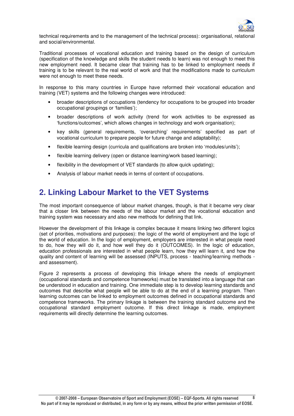

technical requirements and to the management of the technical process): organisational, relational and social/environmental.

Traditional processes of vocational education and training based on the design of curriculum (specification of the knowledge and skills the student needs to learn) was not enough to meet this new employment need. It became clear that training has to be linked to employment needs if training is to be relevant to the real world of work and that the modifications made to curriculum were not enough to meet these needs.

In response to this many countries in Europe have reformed their vocational education and training (VET) systems and the following changes were introduced:

- broader descriptions of occupations (tendency for occupations to be grouped into broader occupational groupings or 'families');
- broader descriptions of work activity (trend for work activities to be expressed as 'functions/outcomes', which allows changes in technology and work organisation);
- key skills (general requirements, 'overarching' requirements' specified as part of vocational curriculum to prepare people for future change and adaptability);
- flexible learning design (curricula and qualifications are broken into 'modules/units');
- flexible learning delivery (open or distance learning/work based learning);
- flexibility in the development of VET standards (to allow quick updating);
- Analysis of labour market needs in terms of content of occupations.

### **2. Linking Labour Market to the VET Systems**

The most important consequence of labour market changes, though, is that it became very clear that a closer link between the needs of the labour market and the vocational education and training system was necessary and also new methods for defining that link.

However the development of this linkage is complex because it means linking two different logics (set of priorities, motivations and purposes): the logic of the world of employment and the logic of the world of education. In the logic of employment, employers are interested in what people need to do, how they will do it, and how well they do it (OUTCOMES). In the logic of education, education professionals are interested in what people learn, how they will learn it, and how the quality and content of learning will be assessed (INPUTS, process - teaching/learning methods and assessment).

Figure 2 represents a process of developing this linkage where the needs of employment (occupational standards and competence frameworks) must be translated into a language that can be understood in education and training. One immediate step is to develop learning standards and outcomes that describe what people will be able to do at the end of a learning program. Then learning outcomes can be linked to employment outcomes defined in occupational standards and competence frameworks. The primary linkage is between the training standard outcome and the occupational standard employment outcome. If this direct linkage is made, employment requirements will directly determine the learning outcomes.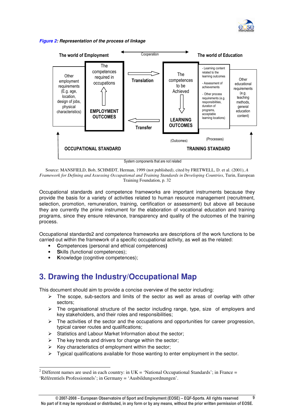

### **Figure 2: Representation of the process of linkage**



Source: MANSFIELD, Bob, SCHMIDT, Herman, 1999 (not published), cited by FRETWELL, D. et al. (2001), *A Framework for Defining and Assessing Occupational and Training Standards in Developing Countries*, Turin, European Training Foundation, p. 32

Occupational standards and competence frameworks are important instruments because they provide the basis for a variety of activities related to human resource management (recruitment, selection, promotion, remuneration, training, certification or assessment) but above all because they are currently the prime instrument for the elaboration of vocational education and training programs, since they ensure relevance, transparency and quality of the outcomes of the training process.

Occupational standards2 and competence frameworks are descriptions of the work functions to be carried out within the framework of a specific occupational activity, as well as the related:

- **C**ompetences (personal and ethical competences**)**
- **Skills (functional competences):**
- **K**nowledge (cognitive competences);

### **3. Drawing the Industry/Occupational Map**

This document should aim to provide a concise overview of the sector including:

- $\triangleright$  The scope, sub-sectors and limits of the sector as well as areas of overlap with other sectors;
- $\triangleright$  The organisational structure of the sector including range, type, size of employers and key stakeholders, and their roles and responsibilities;
- $\triangleright$  The activities of the sector and the occupations and opportunities for career progression, typical career routes and qualifications;
- $\triangleright$  Statistics and Labour Market Information about the sector;
- $\triangleright$  The key trends and drivers for change within the sector;
- $\triangleright$  Key characteristics of employment within the sector;
- Typical qualifications available for those wanting to enter employment in the sector.

<sup>-</sup><sup>2</sup> Different names are used in each country: in  $UK = 'National Occupational Standards'; in France =$ 'Référentiels Professionnels'; in Germany = 'Ausbildungsordnungen'.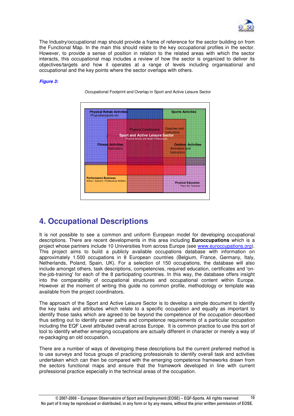

The Industry/occupational map should provide a frame of reference for the sector building on from the Functional Map. In the main this should relate to the key occupational profiles in the sector. However, to provide a sense of position in relation to the related areas with which the sector interacts, this occupational map includes a review of how the sector is organized to deliver its objectives/targets and how it operates at a range of levels including organisational and occupational and the key points where the sector overlaps with others.

### **Figure 3:**



Occupational Footprint and Overlap in Sport and Active Leisure Sector

### **4. Occupational Descriptions**

It is not possible to see a common and uniform European model for developing occupational descriptions. There are recent developments in this area including **Euroccupations** which is a project whose partners include 10 Universities from across Europe (see www.euroccupations.org). This project aims to build a publicly available occupations database with information on approximately 1.500 occupations in 8 European countries (Belgium, France, Germany, Italy, Netherlands, Poland, Spain, UK). For a selection of 150 occupations, the database will also include amongst others, task descriptions, competencies, required education, certificates and 'onthe-job-training' for each of the 8 participating countries. In this way, the database offers insight into the comparability of occupational structures and occupational content within Europe. However at the moment of writing this guide no common profile, methodology or template was available from the project coordinators.

The approach of the Sport and Active Leisure Sector is to develop a simple document to identify the key tasks and attributes which relate to a specific occupation and equally as important to identify those tasks which are agreed to be beyond the competence of the occupation described thus setting out to identify career paths and competence requirements of a particular occupation including the EQF Level attributed overall across Europe. It is common practice to use this sort of tool to identify whether emerging occupations are actually different in character or merely a way of re-packaging an old occupation.

There are a number of ways of developing these descriptions but the current preferred method is to use surveys and focus groups of practicing professionals to identify overall task and activities undertaken which can then be compared with the emerging competence frameworks drawn from the sectors functional maps and ensure that the framework developed in line with current professional practice especially in the technical areas of the occupation.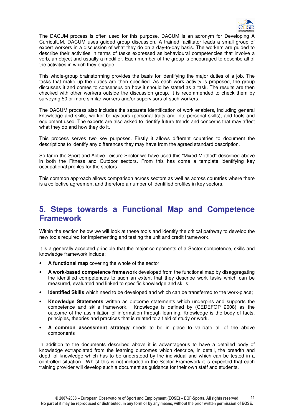

The DACUM process is often used for this purpose. DACUM is an acronym for Developing A CurriculUM. DACUM uses guided group discussion. A trained facilitator leads a small group of expert workers in a discussion of what they do on a day-to-day basis. The workers are guided to describe their activities in terms of tasks expressed as behavioural competencies that involve a verb, an object and usually a modifier. Each member of the group is encouraged to describe all of the activities in which they engage.

This whole-group brainstorming provides the basis for identifying the major duties of a job. The tasks that make up the duties are then specified. As each work activity is proposed, the group discusses it and comes to consensus on how it should be stated as a task. The results are then checked with other workers outside the discussion group. It is recommended to check them by surveying 50 or more similar workers and/or supervisors of such workers.

The DACUM process also includes the separate identification of work enablers, including general knowledge and skills, worker behaviours (personal traits and interpersonal skills), and tools and equipment used. The experts are also asked to identify future trends and concerns that may affect what they do and how they do it.

This process serves two key purposes. Firstly it allows different countries to document the descriptions to identify any differences they may have from the agreed standard description.

So far in the Sport and Active Leisure Sector we have used this "Mixed Method" described above in both the Fitness and Outdoor sectors. From this has come a template identifying key occupational profiles for the sectors.

This common approach allows comparison across sectors as well as across countries where there is a collective agreement and therefore a number of identified profiles in key sectors.

### **5. Steps towards a Functional Map and Competence Framework**

Within the section below we will look at these tools and identify the critical pathway to develop the new tools required for implementing and testing the unit and credit framework.

It is a generally accepted principle that the major components of a Sector competence, skills and knowledge framework include:

- **A functional map** covering the whole of the sector;
- **A work-based competence framework** developed from the functional map by disaggregating the identified competences to such an extent that they describe work tasks which can be measured, evaluated and linked to specific knowledge and skills;
- **Identified Skills** which need to be developed and which can be transferred to the work-place;
- **Knowledge Statements** written as outcome statements which underpins and supports the competence and skills framework. Knowledge is defined by (CEDEFOP 2008) as the outcome of the assimilation of information through learning. Knowledge is the body of facts, principles, theories and practices that is related to a field of study or work.
- **A common assessment strategy** needs to be in place to validate all of the above components

In addition to the documents described above it is advantageous to have a detailed body of knowledge extrapolated from the learning outcomes which describe, in detail, the breadth and depth of knowledge which has to be understood by the individual and which can be tested in a controlled situation. Whilst this is not included in the Sector Framework it is expected that each training provider will develop such a document as guidance for their own staff and students.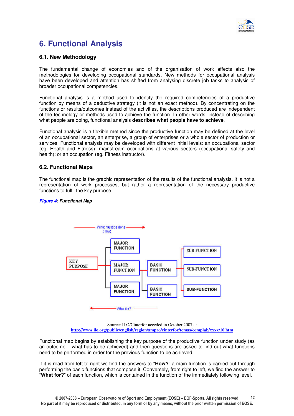

### **6. Functional Analysis**

### **6.1. New Methodology**

The fundamental change of economies and of the organisation of work affects also the methodologies for developing occupational standards. New methods for occupational analysis have been developed and attention has shifted from analysing discrete job tasks to analysis of broader occupational competencies.

Functional analysis is a method used to identify the required competencies of a productive function by means of a deductive strategy (it is not an exact method). By concentrating on the functions or results/outcomes instead of the activities, the descriptions produced are independent of the technology or methods used to achieve the function. In other words, instead of describing what people are doing, functional analysis **describes what people have to achieve**.

Functional analysis is a flexible method since the productive function may be defined at the level of an occupational sector, an enterprise, a group of enterprises or a whole sector of production or services. Functional analysis may be developed with different initial levels: an occupational sector (eg. Health and Fitness); mainstream occupations at various sectors (occupational safety and health); or an occupation (eg. Fitness instructor).

### **6.2. Functional Maps**

The functional map is the graphic representation of the results of the functional analysis. It is not a representation of work processes, but rather a representation of the necessary productive functions to fulfil the key purpose.

### **Figure 4: Functional Map**



Source: ILO/Cinterfor acceded in October 2007 at **http://www.ilo.org/public/english/region/ampro/cinterfor/temas/complab/xxxx/10.htm**

Functional map begins by establishing the key purpose of the productive function under study (as an outcome – what has to be achieved) and then questions are asked to find out what functions need to be performed in order for the previous function to be achieved.

If it is read from left to right we find the answers to "**How?**" a main function is carried out through performing the basic functions that compose it. Conversely, from right to left, we find the answer to "**What for?**" of each function, which is contained in the function of the immediately following level.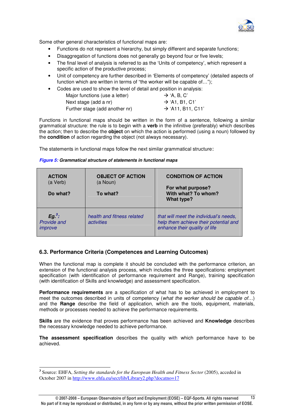

Some other general characteristics of functional maps are:

- Functions do not represent a hierarchy, but simply different and separate functions;
- Disaggregation of functions does not generally go beyond four or five levels;
- The final level of analysis is referred to as the 'Units of competency', which represent a specific action of the productive process;
- Unit of competency are further described in 'Elements of competency' (detailed aspects of function which are written in terms of "the worker will be capable of…");
- Codes are used to show the level of detail and position in analysis:

| Major functions (use a letter) | $\rightarrow$ 'A, B, C'       |
|--------------------------------|-------------------------------|
| Next stage (add a nr)          | $\rightarrow$ 'A1, B1, C1'    |
| Further stage (add another nr) | $\rightarrow$ 'A11, B11, C11' |

Functions in functional maps should be written in the form of a sentence, following a similar grammatical structure: the rule is to begin with a **verb** in the infinitive (preferably) which describes the action; then to describe the **object** on which the action is performed (using a noun) followed by the **condition** of action regarding the object (not always necessary).

The statements in functional maps follow the next similar grammatical structure:

| <b>ACTION</b><br>(a Verb)<br>Do what?     | <b>OBJECT OF ACTION</b><br>(a Noun)<br>To what? | <b>CONDITION OF ACTION</b><br>For what purpose?<br>With what? To whom?<br>What type?                             |  |  |
|-------------------------------------------|-------------------------------------------------|------------------------------------------------------------------------------------------------------------------|--|--|
| $Eg^3$ :<br><b>Provide and</b><br>improve | health and fitness related<br><i>activities</i> | that will meet the individual's needs,<br>help them achieve their potential and<br>enhance their quality of life |  |  |

#### **Figure 5: Grammatical structure of statements in functional maps**

### **6.3. Performance Criteria (Competences and Learning Outcomes)**

When the functional map is complete it should be concluded with the performance criterion, an extension of the functional analysis process, which includes the three specifications: employment specification (with identification of performance requirement and Range), training specification (with identification of Skills and knowledge) and assessment specification.

**Performance requirements** are a specification of what has to be achieved in employment to meet the outcomes described in units of competency (what the worker should be capable of...) and the **Range** describe the field of application, which are the tools, equipment, materials, methods or processes needed to achieve the performance requirements.

**Skills** are the evidence that proves performance has been achieved and **Knowledge** describes the necessary knowledge needed to achieve performance.

**The assessment specification** describes the quality with which performance have to be achieved.

 **3** Source: EHFA, *Setting the standards for the European Health and Fitness Sector* (2005), acceded in October 2007 in http://www.ehfa.eu/sect/lib/Library2.php?docatno=17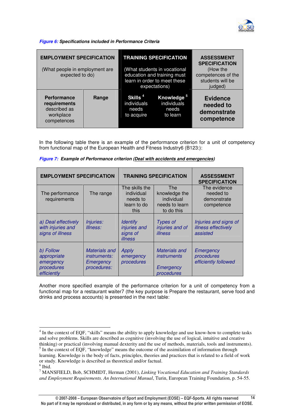

**Figure 6: Specifications included in Performance Criteria** 

| <b>EMPLOYMENT SPECIFICATION</b><br>(What people in employment are<br>expected to do) |       |  | <b>TRAINING SPECIFICATION</b><br>(What students in vocational<br>education and training must<br>learn in order to meet these<br>expectations) | <b>ASSESSMENT</b><br><b>SPECIFICATION</b><br>(How the<br>competences of the<br>students will be<br>judged) |
|--------------------------------------------------------------------------------------|-------|--|-----------------------------------------------------------------------------------------------------------------------------------------------|------------------------------------------------------------------------------------------------------------|
| <b>Performance</b><br>requirements<br>described as<br>workplace<br>competences       | Range |  | Knowledge <sup>5</sup><br>individuals<br>needs<br>to learn                                                                                    | <b>Evidence</b><br>needed to<br>demonstrate<br>competence                                                  |

In the following table there is an example of the performance criterion for a unit of competency from functional map of the European Health and Fitness Industry6 (B123:):

| <b>EMPLOYMENT SPECIFICATION</b>                                    |                                                                  |                                                                                                                                       | <b>TRAINING SPECIFICATION</b>                                  | <b>ASSESSMENT</b><br><b>SPECIFICATION</b>                |
|--------------------------------------------------------------------|------------------------------------------------------------------|---------------------------------------------------------------------------------------------------------------------------------------|----------------------------------------------------------------|----------------------------------------------------------|
| The performance<br>requirements                                    | The range                                                        | The skills the<br>The<br>individual<br>knowledge the<br>individual<br>needs to<br>learn to do<br>needs to learn<br>this<br>to do this |                                                                | The evidence<br>needed to<br>demonstrate<br>competence   |
| a) Deal effectively<br>with injuries and<br>signs of illness       | Injuries:<br>Illness:                                            | <b>Identify</b><br>injuries and<br>signs of<br><i>illness</i>                                                                         | <b>Types of</b><br>injuries and of<br><i>illness</i>           | Injuries and signs of<br>illness effectively<br>assisted |
| b) Follow<br>appropriate<br>emergency<br>procedures<br>efficiently | Materials and<br><i>instruments:</i><br>Emergency<br>procedures: | Apply<br>emergency<br>procedures                                                                                                      | Materials and<br><i>instruments</i><br>Emergency<br>procedures | Emergency<br>procedures<br>efficiently followed          |

|  |  |  | Figure 7: Example of Performance criterion (Deal with accidents and emergencies) |  |  |  |
|--|--|--|----------------------------------------------------------------------------------|--|--|--|
|  |  |  |                                                                                  |  |  |  |

Another more specified example of the performance criterion for a unit of competency from a functional map for a restaurant waiter7 (the key purpose is Prepare the restaurant, serve food and drinks and process accounts) is presented in the next table:

<sup>&</sup>lt;sup>4</sup> In the context of EQF, "skills" means the ability to apply knowledge and use know-how to complete tasks and solve problems. Skills are described as cognitive (involving the use of logical, intuitive and creative thinking) or practical (involving manual dexterity and the use of methods, materials, tools and instruments). <sup>5</sup> In the context of EQF, "knowledge" means the outcome of the assimilation of information through

learning. Knowledge is the body of facts, principles, theories and practices that is related to a field of work or study. Knowledge is described as theoretical and/or factual.

<sup>6</sup> Ibid.

<sup>7</sup> MANSFIELD, Bob, SCHMIDT, Herman (2001), *Linking Vocational Education and Training Standards and Employment Requirements. An International Manual*, Turin, European Training Foundation, p. 54-55.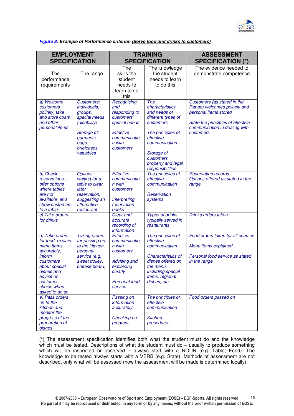

**Figure 8: Example of Performance criterion (Serve food and drinks to customers)**

| <b>EMPLOYMENT</b><br><b>SPECIFICATION</b>                                                                                                                                        |                                                                                                                                                |                                                                                                                        | <b>TRAINING</b><br><b>SPECIFICATION</b>                                                                                                                                                           | <b>ASSESSMENT</b><br><b>SPECIFICATION (*)</b>                                                                                                                           |
|----------------------------------------------------------------------------------------------------------------------------------------------------------------------------------|------------------------------------------------------------------------------------------------------------------------------------------------|------------------------------------------------------------------------------------------------------------------------|---------------------------------------------------------------------------------------------------------------------------------------------------------------------------------------------------|-------------------------------------------------------------------------------------------------------------------------------------------------------------------------|
| The<br>performance<br>requirements                                                                                                                                               | The range                                                                                                                                      | The<br>skills the<br>student<br>needs to<br>learn to do<br>this                                                        | The knowledge<br>the student<br>needs to learn<br>to do this                                                                                                                                      | The evidence needed to<br>demonstrate competence                                                                                                                        |
| a) Welcome<br>customers<br>politely, take<br>and store coats<br>and other<br>personal items                                                                                      | Customers:<br><i>individuals,</i><br>groups,<br>special needs<br>(disability)<br>Storage of:<br>garments,<br>bags,<br>briefcases,<br>valuables | Recognising<br>and<br>responding to<br>customers'<br>special needs<br>Effective<br>communicatio<br>n with<br>customers | The<br>characteristics<br>and needs of<br>different types of<br>customers<br>The principles of<br>effective<br>communication<br>Storage of<br>customers<br>property and legal<br>responsibilities | Customers (as stated in the<br>Range) welcomed politely and<br>personal items stored<br>State the principles of effective<br>communication in dealing with<br>customers |
| b) Check<br>reservations,<br>offer options<br>where tables<br>are not<br>available and<br>show customers<br>to a table                                                           | Options:<br>waiting for a<br>table to clear,<br>later<br>reservation,<br>suggesting an<br>alternative<br>restaurant                            | <b>Effective</b><br>communicatio<br>n with<br>customers<br>Interpreting<br>reservation<br>books                        | The principles of<br>effective<br>communication<br>Reservation<br>systems                                                                                                                         | <b>Reservation records</b><br>Options offered as stated in the<br>range                                                                                                 |
| c) Take orders<br>for drinks                                                                                                                                                     |                                                                                                                                                | Clear and<br>accurate<br>recording of<br>information                                                                   | <b>Types of drinks</b><br>typically served in<br>restaurants                                                                                                                                      | Drinks orders taken                                                                                                                                                     |
| d) Take orders<br>for food, explain<br>menu items<br>accurately,<br>inform<br>customers<br>about special<br>aisnes and<br>advise on<br>customer<br>choice when<br>asked to do so | Taking orders:<br>for passing on<br>to the kitchen,<br>personal<br>service (e.g.<br>sweet trolley,<br>cheese board)                            | Effective<br>communicatio<br>n with<br>customers<br>Advising and<br>explaining<br>clearly<br>Personal food<br>service  | The principles of<br>effective<br>communication<br>Characteristics of<br>dishes offered on<br>the menu.<br>including special<br>items, regional<br>dishes, etc.                                   | Food orders taken for all courses<br>Menu items explained<br>Personal food service as stated<br>in the range                                                            |
| e) Pass orders<br>on to the<br>kitchen and<br>monitor the<br>progress of the<br>preparation of<br>dishes                                                                         |                                                                                                                                                | Passing on<br>information<br>accurately<br>Checking on<br>progress                                                     | The principles of<br>effective<br>communication<br><b>Kitchen</b><br>procedures                                                                                                                   | Food orders passed on                                                                                                                                                   |

(\*) The assessment specification identifies both what the student must do and the knowledge which must be tested. Descriptions of what the student must  $do -$  usually to produce something which will be inspected or observed – always start with a NOUN (e.g. Table, Food). The knowledge to be tested always starts with a VERB (e.g. State). Methods of assessment are not described, only what will be assessed (how the assessment will be made is determined locally).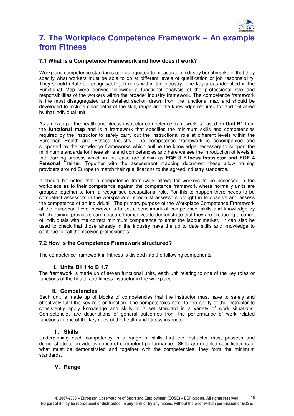

### **7. The Workplace Competence Framework – An example from Fitness**

### **7.1 What is a Competence Framework and how does it work?**

Workplace competence standards can be equated to measurable industry benchmarks in that they specify what workers must be able to do at different levels of qualification or job responsibility. They should relate to recognisable job roles within the industry. The key areas identified in the Functional Map were derived following a functional analysis of the professional role and responsibilities of the workers within the broader industry framework. The competence framework is the most disaggregated and detailed section drawn from the functional map and should be developed to include clear detail of the skill, range and the knowledge required for and delivered by that individual unit.

As an example the health and fitness instructor competence framework is based on **Unit B1** from the **functional map** and is a framework that specifies the minimum skills and competencies required by the instructor to safely carry out the instructional role at different levels within the European Health and Fitness Industry. The competence framework is accompanied and supported by the knowledge frameworks which outline the knowledge necessary to support the minimum standards for these skills and competencies and here we see the introduction of levels in the learning process which in this case are shown as **EQF 3 Fitness Instructor and EQF 4 Personal Trainer**. Together with the assessment mapping document these allow training providers around Europe to match their qualifications to the agreed industry standards.

It should be noted that a competence framework allows for workers to be assessed in the workplace as to their competence against the competence framework where normally units are grouped together to form a recognised occupational role. For this to happen there needs to be competent assessors in the workplace or specialist assessors brought in to observe and assess the competence of an individual. The primary purpose of the Workplace Competence Framework at the European Level however is to set a benchmark of competence, skills and knowledge by which training providers can measure themselves to demonstrate that they are producing a cohort of individuals with the correct minimum competence to enter the labour market. It can also be used to check that those already in the industry have the up to date skills and knowledge to continue to call themselves professionals.

### **7.2 How is the Competence Framework structured?**

The competence framework in Fitness is divided into the following components:

### **I. Units B1.1 to B 1.7**

The framework is made up of seven functional units, each unit relating to one of the key roles or functions of the health and fitness instructor in the workplace.

### **II. Competencies**

Each unit is made up of blocks of competencies that the instructor must have to safely and effectively fulfil the key role or function. The competencies refer to the ability of the instructor to consistently apply knowledge and skills to a set standard in a variety of work situations. Competencies are descriptions of general outcomes from the performance of work related functions in one of the key roles of the health and fitness instructor.

### **III. Skills**

Underpinning each competency is a range of skills that the instructor must possess and demonstrate to provide evidence of competent performance. Skills are detailed specifications of what must be demonstrated and together with the competencies, they form the minimum standards.

### **IV. Range**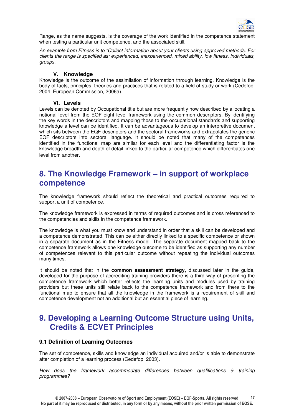

Range, as the name suggests, is the coverage of the work identified in the competence statement when testing a particular unit competence, and the associated skill.

An example from Fitness is to "Collect information about your clients using approved methods. For clients the range is specified as: experienced, inexperienced, mixed ability, low fitness, individuals, groups.

### **V. Knowledge**

Knowledge is the outcome of the assimilation of information through learning. Knowledge is the body of facts, principles, theories and practices that is related to a field of study or work (Cedefop, 2004; European Commission, 2006a).

### **VI. Levels**

Levels can be denoted by Occupational title but are more frequently now described by allocating a notional level from the EQF eight level framework using the common descriptors. By identifying the key words in the descriptors and mapping those to the occupational standards and supporting knowledge a level can be identified. It can be advantageous to develop an interpretive document which sits between the EQF descriptors and the sectoral frameworks and extrapolates the generic EQF descriptors into sectoral language. It should be noted that many of the competences identified in the functional map are similar for each level and the differentiating factor is the knowledge breadth and depth of detail linked to the particular competence which differentiates one level from another.

### **8. The Knowledge Framework – in support of workplace competence**

The knowledge framework should reflect the theoretical and practical outcomes required to support a unit of competence.

The knowledge framework is expressed in terms of required outcomes and is cross referenced to the competencies and skills in the competence framework.

The knowledge is what you must know and understand in order that a skill can be developed and a competence demonstrated. This can be either directly linked to a specific competence or shown in a separate document as in the Fitness model. The separate document mapped back to the competence framework allows one knowledge outcome to be identified as supporting any number of competences relevant to this particular outcome without repeating the individual outcomes many times.

It should be noted that in the **common assessment strategy,** discussed later in the guide, developed for the purpose of accrediting training providers there is a third way of presenting the competence framework which better reflects the learning units and modules used by training providers but these units still relate back to the competence framework and from there to the functional map to ensure that all the knowledge in the framework is a requirement of skill and competence development not an additional but an essential piece of learning.

### **9. Developing a Learning Outcome Structure using Units, Credits & ECVET Principles**

### **9.1 Definition of Learning Outcomes**

The set of competence, skills and knowledge an individual acquired and/or is able to demonstrate after completion of a learning process (Cedefop, 2003).

How does the framework accommodate differences between qualifications & training programmes?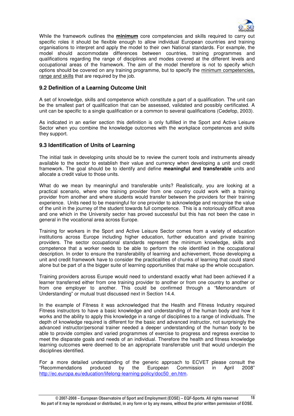

While the framework outlines the **minimum** core competencies and skills required to carry out specific roles it should be flexible enough to allow individual European countries and training organisations to interpret and apply the model to their own National standards. For example, the model should accommodate differences between countries, training programmes and qualifications regarding the range of disciplines and modes covered at the different levels and occupational areas of the framework. The aim of the model therefore is not to specify which options should be covered on any training programme, but to specify the minimum competencies, range and skills that are required by the job.

### **9.2 Definition of a Learning Outcome Unit**

A set of knowledge, skills and competence which constitute a part of a qualification. The unit can be the smallest part of qualification that can be assessed, validated and possibly certificated. A unit can be specific to a single qualification or a common to several qualifications (Cedefop, 2003).

As indicated in an earlier section this definition is only fulfilled in the Sport and Active Leisure Sector when you combine the knowledge outcomes with the workplace competences and skills they support.

### **9.3 Identification of Units of Learning**

The initial task in developing units should be to review the current tools and instruments already available to the sector to establish their value and currency when developing a unit and credit framework. The goal should be to identify and define **meaningful and transferable** units and allocate a credit value to those units.

What do we mean by meaningful and transferable units? Realistically, you are looking at a practical scenario, where one training provider from one country could work with a training provider from another and where students would transfer between the providers for their training experience. Units need to be meaningful for one provider to acknowledge and recognise the value of the unit in the journey of the student towards full competence. This is a notoriously difficult area and one which in the University sector has proved successful but this has not been the case in general in the vocational area across Europe.

Training for workers in the Sport and Active Leisure Sector comes from a variety of education institutions across Europe including higher education, further education and private training providers. The sector occupational standards represent the minimum knowledge, skills and competence that a worker needs to be able to perform the role identified in the occupational description. In order to ensure the transferability of learning and achievement, those developing a unit and credit framework have to consider the practicalities of chunks of learning that could stand alone but be part of a the bigger suite of learning opportunities that make up the whole occupation.

Training providers across Europe would need to understand exactly what had been achieved if a learner transferred either from one training provider to another or from one country to another or from one employer to another. This could be confirmed through a "Memorandum of Understanding" or mutual trust discussed next in Section 14.4.

In the example of Fitness it was acknowledged that the Health and Fitness Industry required Fitness instructors to have a basic knowledge and understanding of the human body and how it works and the ability to apply this knowledge in a range of disciplines to a range of individuals. The depth of knowledge required is different for the basic and advanced instructor, not surprisingly the advanced instructor/personal trainer needed a deeper understanding of the human body to be able to provide complex and varied programmes of exercise to progress and regress exercise to meet the disparate goals and needs of an individual. Therefore the health and fitness knowledge learning outcomes were deemed to be an appropriate transferrable unit that would underpin the disciplines identified.

For a more detailed understanding of the generic approach to ECVET please consult the "Recommendations produced by the European Commission in April 2008" http://ec.europa.eu/education/lifelong-learning-policy/doc50\_en.htm.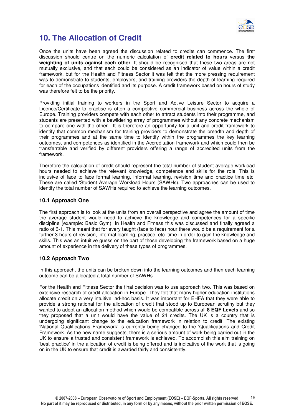

### **10. The Allocation of Credit**

Once the units have been agreed the discussion related to credits can commence. The first discussion should centre on the numeric calculation of **credit related to hours** versus **the weighting of units against each other**. It should be recognised that these two areas are not mutually exclusive, and that each could be considered as an indicator of value within a credit framework, but for the Health and Fitness Sector it was felt that the more pressing requirement was to demonstrate to students, employers, and training providers the depth of learning required for each of the occupations identified and its purpose. A credit framework based on hours of study was therefore felt to be the priority.

Providing initial training to workers in the Sport and Active Leisure Sector to acquire a Licence/Certificate to practise is often a competitive commercial business across the whole of Europe. Training providers compete with each other to attract students into their programme, and students are presented with a bewildering array of programmes without any concrete mechanism to compare one with the other. It is therefore an opportunity for a unit and credit framework to identify that common mechanism for training providers to demonstrate the breadth and depth of their programmes and at the same time to identify within the programmes the key learning outcomes, and competences as identified in the Accreditation framework and which could then be transferrable and verified by different providers offering a range of accredited units from the framework.

Therefore the calculation of credit should represent the total number of student average workload hours needed to achieve the relevant knowledge, competence and skills for the role. This is inclusive of face to face formal learning, informal learning, revision time and practice time etc. These are called 'Student Average Workload Hours (SAWHs). Two approaches can be used to identify the total number of SAWHs required to achieve the learning outcomes.

### **10.1 Approach One**

The first approach is to look at the units from an overall perspective and agree the amount of time the average student would need to achieve the knowledge and competences for a specific discipline (example: Basic Gym). In Health and Fitness this was discussed and finally agreed a ratio of 3-1. This meant that for every taught (face to face) hour there would be a requirement for a further 3 hours of revision, informal learning, practice, etc. time in order to gain the knowledge and skills. This was an intuitive guess on the part of those developing the framework based on a huge amount of experience in the delivery of these types of programmes.

### **10.2 Approach Two**

In this approach, the units can be broken down into the learning outcomes and then each learning outcome can be allocated a total number of SAWHs.

For the Health and Fitness Sector the final decision was to use approach two. This was based on extensive research of credit allocation in Europe. They felt that many higher education institutions allocate credit on a very intuitive, ad-hoc basis. It was important for EHFA that they were able to provide a strong rational for the allocation of credit that stood up to European scrutiny but they wanted to adopt an allocation method which would be compatible across all **8 EQF Levels** and so they proposed that a unit would have the value of 24 credits. The UK is a country that is undergoing significant change to the education framework in relation to credit. The existing 'National Qualifications Framework' is currently being changed to the 'Qualifications and Credit Framework. As the new name suggests, there is a serious amount of work being carried out in the UK to ensure a trusted and consistent framework is achieved. To accomplish this aim training on 'best practice' in the allocation of credit is being offered and is indicative of the work that is going on in the UK to ensure that credit is awarded fairly and consistently.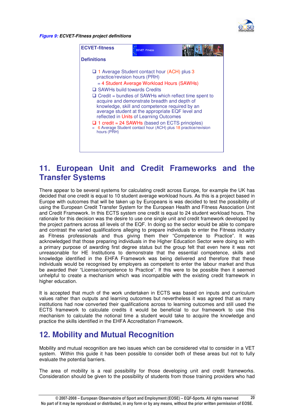

**Figure 9: ECVET-Fitness project definitions**



### **11. European Unit and Credit Frameworks and the Transfer Systems**

There appear to be several systems for calculating credit across Europe, for example the UK has decided that one credit is equal to 10 student average workload hours. As this is a project based in Europe with outcomes that will be taken up by Europeans is was decided to test the possibility of using the European Credit Transfer System for the European Health and Fitness Association Unit and Credit Framework. In this ECTS system one credit is equal to 24 student workload hours. The rationale for this decision was the desire to use one single unit and credit framework developed by the project partners across all levels of the EQF. In doing so the sector would be able to compare and contrast the varied qualifications alleging to prepare individuals to enter the Fitness industry as Fitness professionals and thus giving them their "Competence to Practice". It was acknowledged that those preparing individuals in the Higher Education Sector were doing so with a primary purpose of awarding first degree status but the group felt that even here it was not unreasonable for HE Institutions to demonstrate that the essential competence, skills and knowledge identified in the EHFA Framework was being delivered and therefore that these individuals would be recognised by employers as competent to enter the labour market and thus be awarded their "License/competence to Practice". If this were to be possible then it seemed unhelpful to create a mechanism which was incompatible with the existing credit framework in higher education.

It is accepted that much of the work undertaken in ECTS was based on inputs and curriculum values rather than outputs and learning outcomes but nevertheless it was agreed that as many institutions had now converted their qualifications across to learning outcomes and still used the ECTS framework to calculate credits it would be beneficial to our framework to use this mechanism to calculate the notional time a student would take to acquire the knowledge and practice the skills identified in the EHFA Accreditation Framework.

### **12. Mobility and Mutual Recognition**

Mobility and mutual recognition are two issues which can be considered vital to consider in a VET system. Within this guide it has been possible to consider both of these areas but not to fully evaluate the potential barriers.

The area of mobility is a real possibility for those developing unit and credit frameworks. Consideration should be given to the possibility of students from those training providers who had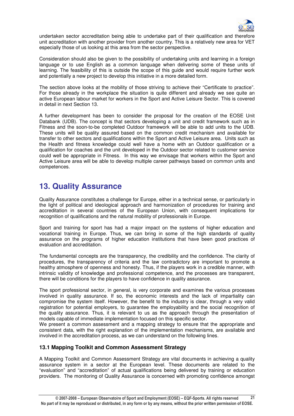

undertaken sector accreditation being able to undertake part of their qualification and therefore unit accreditation with another provider from another country. This is a relatively new area for VET especially those of us looking at this area from the sector perspective.

Consideration should also be given to the possibility of undertaking units and learning in a foreign language or to use English as a common language when delivering some of these units of learning. The feasibility of this is outside the scope of this guide and would require further work and potentially a new project to develop this initiative in a more detailed form.

The section above looks at the mobility of those striving to achieve their "Certificate to practice". For those already in the workplace the situation is quite different and already we see quite an active European labour market for workers in the Sport and Active Leisure Sector. This is covered in detail in next Section 13.

A further development has been to consider the proposal for the creation of the EOSE Unit Databank (UDB). The concept is that sectors developing a unit and credit framework such as in Fitness and the soon-to-be completed Outdoor framework will be able to add units to the UDB. These units will be quality assured based on the common credit mechanism and available for transfer to other sectors and qualifications within the Sport and Active Leisure area. Units such as the Health and fitness knowledge could well have a home with an Outdoor qualification or a qualification for coaches and the unit developed in the Outdoor sector related to customer service could well be appropriate in Fitness. In this way we envisage that workers within the Sport and Active Leisure area will be able to develop multiple career pathways based on common units and competences.

### **13. Quality Assurance**

Quality Assurance constitutes a challenge for Europe, either in a technical sense, or particularly in the light of political and ideological approach and harmonization of procedures for training and accreditation in several countries of the European Union, with consequent implications for recognition of qualifications and the natural mobility of professionals in Europe.

Sport and training for sport has had a major impact on the systems of higher education and vocational training in Europe. Thus, we can bring in some of the high standards of quality assurance on the programs of higher education institutions that have been good practices of evaluation and accreditation.

The fundamental concepts are the transparency, the credibility and the confidence. The clarity of procedures, the transparency of criteria and the law contradictory are important to promote a healthy atmosphere of openness and honesty. Thus, if the players work in a credible manner, with intrinsic validity of knowledge and professional competence, and the processes are transparent, there will be conditions for the players to have confidence in quality assurance.

The sport professional sector, in general, is very corporate and examines the various processes involved in quality assurance. If so, the economic interests and the lack of impartiality can compromise the system itself. However, the benefit to the industry is clear, through a very valid registration for potential employers, to guarantee the employability and the social recognition of the quality assurance. Thus, it is relevant to us as the approach through the presentation of models capable of immediate implementation focused on this specific sector.

We present a common assessment and a mapping strategy to ensure that the appropriate and consistent data, with the right explanation of the implementation mechanisms, are available and involved in the accreditation process, as we can understand on the following lines.

### **13.1 Mapping Toolkit and Common Assessment Strategy**

A Mapping Toolkit and Common Assessment Strategy are vital documents in achieving a quality assurance system in a sector at the European level. These documents are related to the "evaluation" and "accreditation" of actual qualifications being delivered by training or education providers. The monitoring of Quality Assurance is concerned with promoting confidence amongst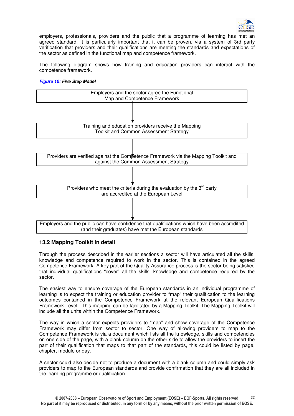

employers, professionals, providers and the public that a programme of learning has met an agreed standard. It is particularly important that it can be proven, via a system of 3rd party verification that providers and their qualifications are meeting the standards and expectations of the sector as defined in the functional map and competence framework.

The following diagram shows how training and education providers can interact with the competence framework.

### **Figure 10: Five Step Model**



### **13.2 Mapping Toolkit in detail**

Through the process described in the earlier sections a sector will have articulated all the skills, knowledge and competence required to work in the sector. This is contained in the agreed Competence Framework. A key part of the Quality Assurance process is the sector being satisfied that individual qualifications "cover" all the skills, knowledge and competence required by the sector.

The easiest way to ensure coverage of the European standards in an individual programme of learning is to expect the training or education provider to "map" their qualification to the learning outcomes contained in the Competence Framework at the relevant European Qualifications Framework Level. This mapping can be facilitated by a Mapping Toolkit. The Mapping Toolkit will include all the units within the Competence Framework.

The way in which a sector expects providers to "map" and show coverage of the Competence Framework may differ from sector to sector. One way of allowing providers to map to the Competence Framework is via a document which lists all the knowledge, skills and competencies on one side of the page, with a blank column on the other side to allow the providers to insert the part of their qualification that maps to that part of the standards, this could be listed by page, chapter, module or day.

A sector could also decide not to produce a document with a blank column and could simply ask providers to map to the European standards and provide confirmation that they are all included in the learning programme or qualification.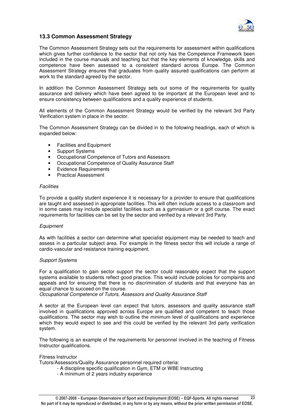

### **13.3 Common Assessment Strategy**

The Common Assessment Strategy sets out the requirements for assessment within qualifications which gives further confidence to the sector that not only has the Competence Framework been included in the course manuals and teaching but that the key elements of knowledge, skills and competence have been assessed to a consistent standard across Europe. The Common Assessment Strategy ensures that graduates from quality assured qualifications can perform at work to the standard agreed by the sector.

In addition the Common Assessment Strategy sets out some of the requirements for quality assurance and delivery which have been agreed to be important at the European level and to ensure consistency between qualifications and a quality experience of students.

All elements of the Common Assessment Strategy would be verified by the relevant 3rd Party Verification system in place in the sector.

The Common Assessment Strategy can be divided in to the following headings, each of which is expanded below:

- Facilities and Equipment
- Support Systems
- Occupational Competence of Tutors and Assessors
- Occupational Competence of Quality Assurance Staff
- **Evidence Requirements**
- Practical Assessment

### **Facilities**

To provide a quality student experience it is necessary for a provider to ensure that qualifications are taught and assessed in appropriate facilities. This will often include access to a classroom and in some cases may include specialist facilities such as a gymnasium or a golf course. The exact requirements for facilities can be set by the sector and verified by a relevant 3rd Party.

### **Equipment**

As with facilities a sector can determine what specialist equipment may be needed to teach and assess in a particular subject area. For example in the fitness sector this will include a range of cardio-vascular and resistance training equipment.

### Support Systems

For a qualification to gain sector support the sector could reasonably expect that the support systems available to students reflect good practice. This would include policies for complaints and appeals and for ensuring that there is no discrimination of students and that everyone has an equal chance to succeed on the course.

Occupational Competence of Tutors, Assessors and Quality Assurance Staff

A sector at the European level can expect that tutors, assessors and quality assurance staff involved in qualifications approved across Europe are qualified and competent to teach those qualifications. The sector may wish to outline the minimum level of qualifications and experience which they would expect to see and this could be verified by the relevant 3rd party verification system.

The following is an example of the requirements for personnel involved in the teaching of Fitness Instructor qualifications.

### Fitness Instructor

Tutors/Assessors/Quality Assurance personnel required criteria:

- A discipline specific qualification in Gym, ETM or WBE Instructing
- A minimum of 2 years industry experience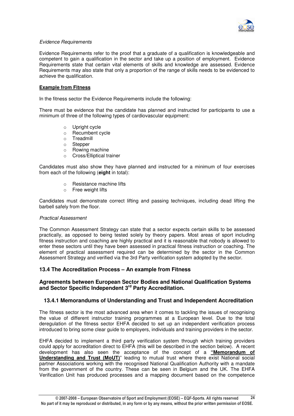

### Evidence Requirements

Evidence Requirements refer to the proof that a graduate of a qualification is knowledgeable and competent to gain a qualification in the sector and take up a position of employment. Evidence Requirements state that certain vital elements of skills and knowledge are assessed. Evidence Requirements may also state that only a proportion of the range of skills needs to be evidenced to achieve the qualification.

### **Example from Fitness**

In the fitness sector the Evidence Requirements include the following:

There must be evidence that the candidate has planned and instructed for participants to use a minimum of three of the following types of cardiovascular equipment:

- o Upright cycle
- o Recumbent cycle
- o Treadmill
- o Stepper
- o Rowing machine
- o Cross/Elliptical trainer

Candidates must also show they have planned and instructed for a minimum of four exercises from each of the following (**eight** in total):

- o Resistance machine lifts
- o Free weight lifts

Candidates must demonstrate correct lifting and passing techniques, including dead lifting the barbell safely from the floor.

### Practical Assessment

The Common Assessment Strategy can state that a sector expects certain skills to be assessed practically, as opposed to being tested solely by theory papers. Most areas of sport including fitness instruction and coaching are highly practical and it is reasonable that nobody is allowed to enter these sectors until they have been assessed in practical fitness instruction or coaching. The element of practical assessment required can be determined by the sector in the Common Assessment Strategy and verified via the 3rd Party verification system adopted by the sector.

### **13.4 The Accreditation Process – An example from Fitness**

### **Agreements between European Sector Bodies and National Qualification Systems and Sector Specific Independent 3rd Party Accreditation.**

### **13.4.1 Memorandums of Understanding and Trust and Independent Accreditation**

The fitness sector is the most advanced area when it comes to tackling the issues of recognising the value of different instructor training programmes at a European level. Due to the total deregulation of the fitness sector EHFA decided to set up an independent verification process introduced to bring some clear guide to employers, individuals and training providers in the sector.

EHFA decided to implement a third party verification system through which training providers could apply for accreditation direct to EHFA (this will be described in the section below). A recent development has also seen the acceptance of the concept of a **"Memorandum of Understanding and Trust (MoUT)**" leading to mutual trust where there exist National social partner Associations working with the recognised National Qualification Authority with a mandate from the government of the country. These can be seen in Belgium and the UK. The EHFA Verification Unit has produced processes and a mapping document based on the competence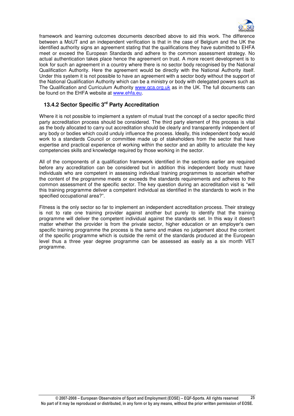

framework and learning outcomes documents described above to aid this work. The difference between a MoUT and an independent verification is that in the case of Belgium and the UK the identified authority signs an agreement stating that the qualifications they have submitted to EHFA meet or exceed the European Standards and adhere to the common assessment strategy. No actual authentication takes place hence the agreement on trust. A more recent development is to look for such an agreement in a country where there is no sector body recognised by the National Qualification Authority. Here the agreement would be directly with the National Authority itself. Under this system it is not possible to have an agreement with a sector body without the support of the National Qualification Authority which can be a ministry or body with delegated powers such as The Qualification and Curriculum Authority www.qca.org.uk as in the UK. The full documents can be found on the EHFA website at www.ehfa.eu.

### **13.4.2 Sector Specific 3rd Party Accreditation**

Where it is not possible to implement a system of mutual trust the concept of a sector specific third party accreditation process should be considered. The third party element of this process is vital as the body allocated to carry out accreditation should be clearly and transparently independent of any body or bodies which could unduly influence the process. Ideally, this independent body would work to a standards Council or committee made up of stakeholders from the sector that have expertise and practical experience of working within the sector and an ability to articulate the key competencies skills and knowledge required by those working in the sector.

All of the components of a qualification framework identified in the sections earlier are required before any accreditation can be considered but in addition this independent body must have individuals who are competent in assessing individual training programmes to ascertain whether the content of the programme meets or exceeds the standards requirements and adheres to the common assessment of the specific sector. The key question during an accreditation visit is "will this training programme deliver a competent individual as identified in the standards to work in the specified occupational area?".

Fitness is the only sector so far to implement an independent accreditation process. Their strategy is not to rate one training provider against another but purely to identify that the training programme will deliver the competent individual against the standards set. In this way it doesn't matter whether the provider is from the private sector, higher education or an employer's own specific training programme the process is the same and makes no judgement about the content of the specific programme which is outside the remit of the standards produced at the European level thus a three year degree programme can be assessed as easily as a six month VET programme.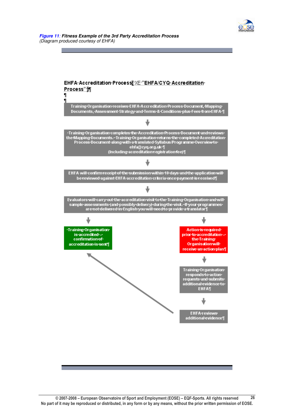

#### **Figure 11**: **Fitness Example of the 3rd Party Accreditation Process** (Diagram produced courtesy of EHFA)

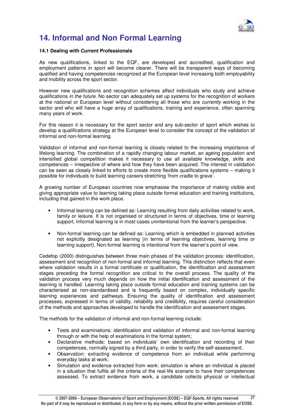

### **14. Informal and Non Formal Learning**

### **14.1 Dealing with Current Professionals**

As new qualifications, linked to the EQF, are developed and accredited, qualification and employment patterns in sport will become clearer. There will be transparent ways of becoming qualified and having competencies recognized at the European level increasing both employability and mobility across the sport sector.

However new qualifications and recognition schemes affect individuals who study and achieve qualifications in the future. No sector can adequately set up systems for the recognition of workers at the national or European level without considering all those who are currently working in the sector and who will have a huge array of qualifications, training and experience, often spanning many years of work.

For this reason it is necessary for the sport sector and any sub-sector of sport which wishes to develop a qualifications strategy at the European level to consider the concept of the validation of informal and non-formal learning.

Validation of informal and non-formal learning is closely related to the increasing importance of lifelong learning. The combination of a rapidly changing labour market, an ageing population and intensified global competition makes it necessary to use all available knowledge, skills and competences – irrespective of where and how they have been acquired. The interest in validation can be seen as closely linked to efforts to create more flexible qualifications systems – making it possible for individuals to build learning careers stretching 'from cradle to grave'.

A growing number of European countries now emphasise the importance of making visible and giving appropriate value to learning taking place outside formal education and training institutions, including that gained in the work place.

- Informal learning can be defined as: Learning resulting from daily activities related to work, family or leisure. It is not organised or structured in terms of objectives, time or learning support. Informal learning is in most cases unintentional from the learner's perspective.
- Non-formal learning can be defined as: Learning which is embedded in planned activities not explicitly designated as learning (in terms of learning objectives, learning time or learning support). Non-formal learning is intentional from the learner's point of view.

Cedefop (2000) distinguishes between three main phases of the validation process: identification, assessment and recognition of non-formal and informal learning. This distinction reflects that even where validation results in a formal certificate or qualification, the identification and assessment stages preceding the formal recognition are critical to the overall process. The quality of the validation process very much depends on how the initial identification and assessment of the learning is handled. Learning taking place outside formal education and training systems can be characterised as non-standardised and is frequently based on complex, individually specific learning experiences and pathways. Ensuring the quality of identification and assessment processes, expressed in terms of validity, reliability and credibility, requires careful consideration of the methods and approaches developed to handle the identification and assessment stages.

The methods for the validation of informal and non-formal learning include:

- Tests and examinations: identification and validation of informal and non-formal learning through or with the help of examinations in the formal system;
- Declarative methods: based on individuals' own identification and recording of their competences, normally signed by a third party, in order to verify the self-assessment;
- Observation: extracting evidence of competence from an individual while performing everyday tasks at work;
- Simulation and evidence extracted from work: simulation is where an individual is placed in a situation that fulfils all the criteria of the real-life scenario to have their competences assessed. To extract evidence from work, a candidate collects physical or intellectual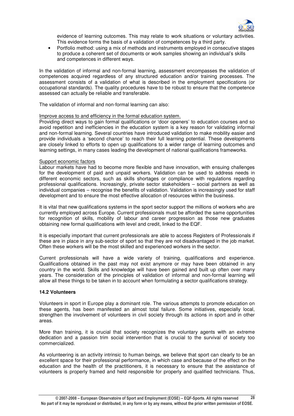

evidence of learning outcomes. This may relate to work situations or voluntary activities. This evidence forms the basis of a validation of competences by a third party.

• Portfolio method: using a mix of methods and instruments employed in consecutive stages to produce a coherent set of documents or work samples showing an individual's skills and competences in different ways.

In the validation of informal and non-formal learning, assessment encompasses the validation of competences acquired regardless of any structured education and/or training processes. The assessment consists of a validation of what is described in the employment specifications (or occupational standards). The quality procedures have to be robust to ensure that the competence assessed can actually be reliable and transferable.

The validation of informal and non-formal learning can also:

### Improve access to and efficiency in the formal education system.

Providing direct ways to gain formal qualifications or 'door openers' to education courses and so avoid repetition and inefficiencies in the education system is a key reason for validating informal and non-formal learning. Several countries have introduced validation to make mobility easier and provide individuals a 'second chance' to reach their full learning potential. These developments are closely linked to efforts to open up qualifications to a wider range of learning outcomes and learning settings, in many cases leading the development of national qualifications frameworks.

#### Support economic factors

Labour markets have had to become more flexible and have innovation, with ensuing challenges for the development of paid and unpaid workers. Validation can be used to address needs in different economic sectors, such as skills shortages or compliance with regulations regarding professional qualifications. Increasingly, private sector stakeholders – social partners as well as individual companies – recognise the benefits of validation. Validation is increasingly used for staff development and to ensure the most effective allocation of resources within the business.

It is vital that new qualifications systems in the sport sector support the millions of workers who are currently employed across Europe. Current professionals must be afforded the same opportunities for recognition of skills, mobility of labour and career progression as those new graduates obtaining new formal qualifications with level and credit, linked to the EQF.

It is especially important that current professionals are able to access Registers of Professionals if these are in place in any sub-sector of sport so that they are not disadvantaged in the job market. Often these workers will be the most skilled and experienced workers in the sector.

Current professionals will have a wide variety of training, qualifications and experience. Qualifications obtained in the past may not exist anymore or may have been obtained in any country in the world. Skills and knowledge will have been gained and built up often over many years. The consideration of the principles of validation of informal and non-formal learning will allow all these things to be taken in to account when formulating a sector qualifications strategy.

### **14.2 Volunteers**

Volunteers in sport in Europe play a dominant role. The various attempts to promote education on these agents, has been manifested an almost total failure. Some initiatives, especially local, strengthen the involvement of volunteers in civil society through its actions in sport and in other areas.

More than training, it is crucial that society recognizes the voluntary agents with an extreme dedication and a passion trim social intervention that is crucial to the survival of society too commercialized.

As volunteering is an activity intrinsic to human beings, we believe that sport can clearly to be an excellent space for their professional performance, in which case and because of the effect on the education and the health of the practitioners, it is necessary to ensure that the assistance of volunteers is properly framed and held responsible for properly and qualified technicians. Thus,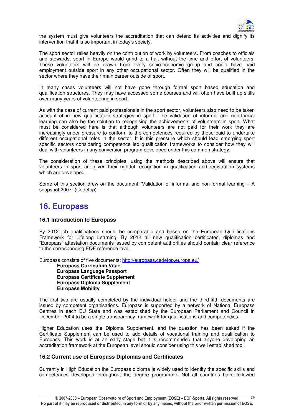

the system must give volunteers the accreditation that can defend its activities and dignify its intervention that it is so important in today's society.

The sport sector relies heavily on the contribution of work by volunteers. From coaches to officials and stewards, sport in Europe would grind to a halt without the time and effort of volunteers. These volunteers will be drawn from every socio-economic group and could have paid employment outside sport in any other occupational sector. Often they will be qualified in the sector where they have their main career outside of sport.

In many cases volunteers will not have gone through formal sport based education and qualification structures. They may have accessed some courses and will often have built up skills over many years of volunteering in sport.

As with the case of current paid professionals in the sport sector, volunteers also need to be taken account of in new qualification strategies in sport. The validation of informal and non-formal learning can also be the solution to recognising the achievements of volunteers in sport. What must be considered here is that although volunteers are not paid for their work they are increasingly under pressure to conform to the competences required by those paid to undertake different occupational roles in the sector. It is this pressure which should lead emerging sport specific sectors considering competence led qualification frameworks to consider how they will deal with volunteers in any conversion program developed under this common strategy.

The consideration of these principles, using the methods described above will ensure that volunteers in sport are given their rightful recognition in qualification and registration systems which are developed.

Some of this section drew on the document "Validation of informal and non-formal learning – A snapshot 2007" (Cedefop).

### **16. Europass**

### **16.1 Introduction to Europass**

By 2012 job qualifications should be comparable and based on the European Qualifications Framework for Lifelong Learning. By 2012 all new qualification certificates, diplomas and "Europass" attestation documents issued by competent authorities should contain clear reference to the corresponding EQF reference level.

Europass consists of five documents: http://europass.cedefop.europa.eu/

**Europass Curriculum Vitae Europass Language Passport Europass Certificate Supplement Europass Diploma Supplement Europass Mobility** 

The first two are usually completed by the individual holder and the third-fifth documents are issued by competent organisations. Europass is supported by a network of National Europass Centres in each EU State and was established by the European Parliament and Council in December 2004 to be a single transparency framework for qualifications and competencies.

Higher Education uses the Diploma Supplement, and the question has been asked if the Certificate Supplement can be used to add details of vocational training and qualification to Europass. This work is at an early stage but it is recommended that anyone developing an accreditation framework at the European level should consider using this well established tool.

### **16.2 Current use of Europass Diplomas and Certificates**

Currently in High Education the Europass diploma is widely used to identify the specific skills and competences developed throughout the degree programme. Not all countries have followed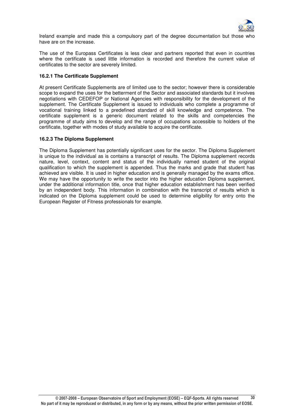

Ireland example and made this a compulsory part of the degree documentation but those who have are on the increase.

The use of the Europass Certificates is less clear and partners reported that even in countries where the certificate is used little information is recorded and therefore the current value of certificates to the sector are severely limited.

### **16.2.1 The Certificate Supplement**

At present Certificate Supplements are of limited use to the sector; however there is considerable scope to expand the uses for the betterment of the Sector and associated standards but it involves negotiations with CEDEFOP or National Agencies with responsibility for the development of the supplement. The Certificate Supplement is issued to individuals who complete a programme of vocational training linked to a predefined standard of skill knowledge and competence. The certificate supplement is a generic document related to the skills and competencies the programme of study aims to develop and the range of occupations accessible to holders of the certificate, together with modes of study available to acquire the certificate.

### **16.2.3 The Diploma Supplement**

The Diploma Supplement has potentially significant uses for the sector. The Diploma Supplement is unique to the individual as is contains a transcript of results. The Diploma supplement records nature, level, context, content and status of the individually named student of the original qualification to which the supplement is appended. Thus the marks and grade that student has achieved are visible. It is used in higher education and is generally managed by the exams office. We may have the opportunity to write the sector into the higher education Diploma supplement, under the additional information title, once that higher education establishment has been verified by an independent body. This information in combination with the transcript of results which is indicated on the Diploma supplement could be used to determine eligibility for entry onto the European Register of Fitness professionals for example.